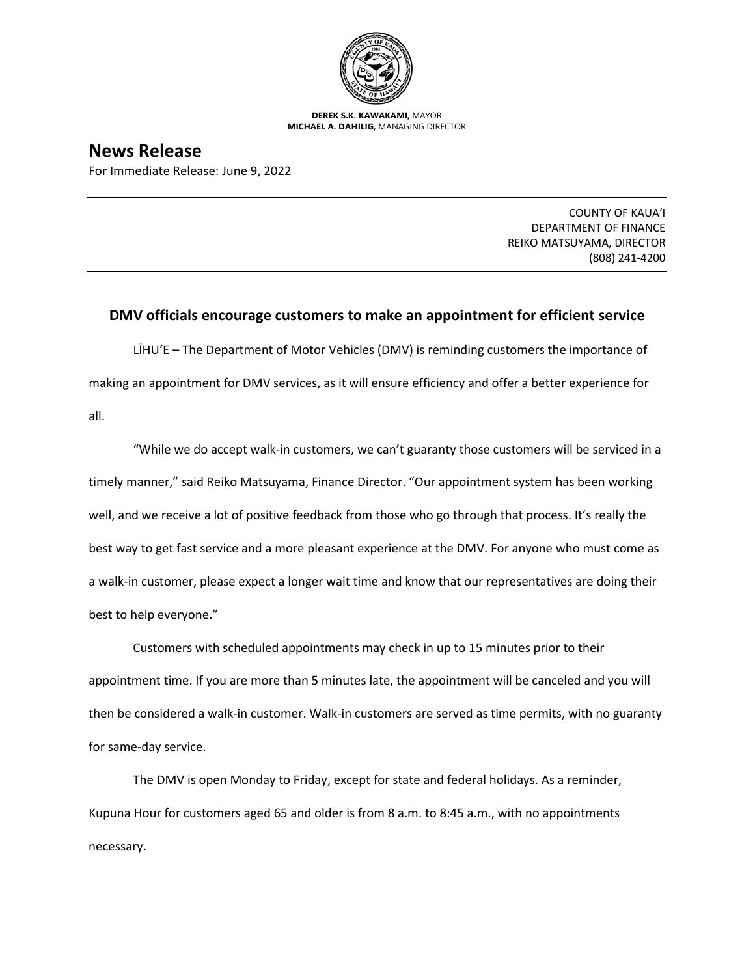

**DEREK S.K. KAWAKAMI,** MAYOR **MICHAEL A. DAHILIG,** MANAGING DIRECTOR

## **News Release**

For Immediate Release: June 9, 2022

COUNTY OF KAUA'I DEPARTMENT OF FINANCE REIKO MATSUYAMA, DIRECTOR (808) 241-4200

## **DMV officials encourage customers to make an appointment for efficient service**

LĪHU'E – The Department of Motor Vehicles (DMV) is reminding customers the importance of making an appointment for DMV services, as it will ensure efficiency and offer a better experience for all.

"While we do accept walk-in customers, we can't guaranty those customers will be serviced in a timely manner," said Reiko Matsuyama, Finance Director. "Our appointment system has been working well, and we receive a lot of positive feedback from those who go through that process. It's really the best way to get fast service and a more pleasant experience at the DMV. For anyone who must come as a walk-in customer, please expect a longer wait time and know that our representatives are doing their best to help everyone."

Customers with scheduled appointments may check in up to 15 minutes prior to their appointment time. If you are more than 5 minutes late, the appointment will be canceled and you will then be considered a walk-in customer. Walk-in customers are served as time permits, with no guaranty for same-day service.

The DMV is open Monday to Friday, except for state and federal holidays. As a reminder, Kupuna Hour for customers aged 65 and older is from 8 a.m. to 8:45 a.m., with no appointments necessary.